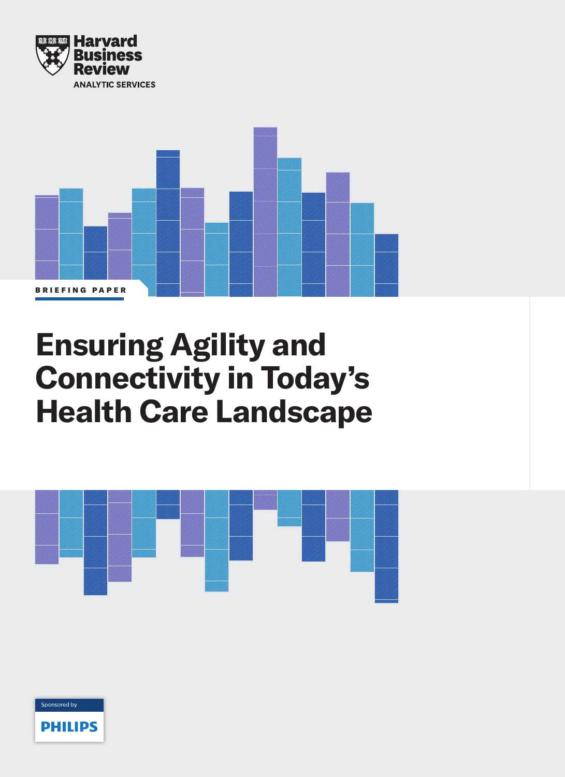



# **Ensuring Agility and Connectivity in Today's Health Care Landscape**



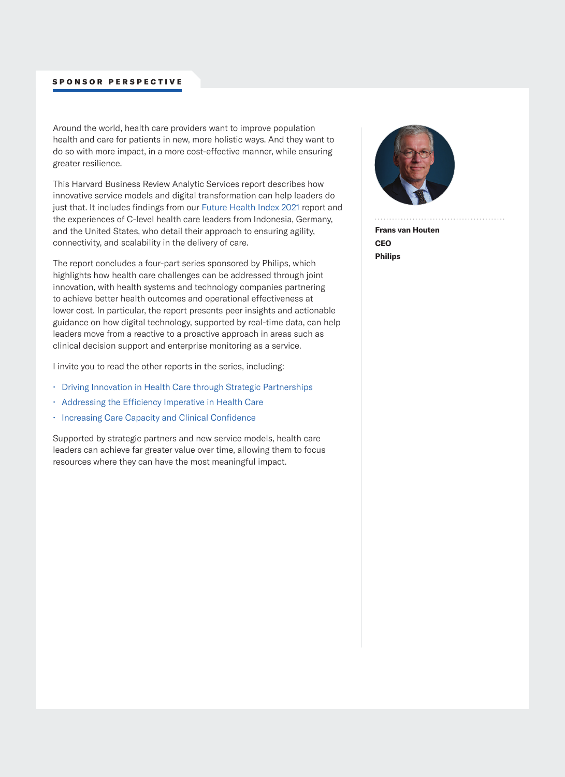#### SPONSOR PERSPECTIVE

Around the world, health care providers want to improve population health and care for patients in new, more holistic ways. And they want to do so with more impact, in a more cost-effective manner, while ensuring greater resilience.

This Harvard Business Review Analytic Services report describes how innovative service models and digital transformation can help leaders do just that. It includes findings from our [Future Health Index 2021 report](https://www.philips.com/a-w/about/news/future-health-index/reports/2021/healthcare-leaders-look-beyond-the-crisis.html?origin=2_global_en_HSM_HBR_paper4_FHI_link1_7016T000001zavwQAA) and the experiences of C-level health care leaders from Indonesia, Germany, and the United States, who detail their approach to ensuring agility, connectivity, and scalability in the delivery of care.

The report concludes a four-part series sponsored by Philips, which highlights how health care challenges can be addressed through joint innovation, with health systems and technology companies partnering to achieve better health outcomes and operational effectiveness at lower cost. In particular, the report presents peer insights and actionable guidance on how digital technology, supported by real-time data, can help leaders move from a reactive to a proactive approach in areas such as clinical decision support and enterprise monitoring as a service.

I invite you to read the other reports in the series, including:

- [Driving Innovation in Health Care through Strategic Partnerships](https://www.usa.philips.com/healthcare/innovation/success-stories/harvard-business-review-analytic-services-report?origin=2_global_en_HSM_HBR_paper4_link2_7016T000001zavwQAA)
- [Addressing the Efficiency Imperative in Health Care](https://www.usa.philips.com/healthcare/innovation/success-stories/addressing-the-efficiency-imperative-in-health-care?origin=2_global_en_HSM_HBR_paper4_link3_7016T000001zavwQAA)
- [Increasing Care Capacity and Clinical Confidence](https://hbr.org/sponsored/2021/10/increasing-care-capacity-and-clinical-confidence)

Supported by strategic partners and new service models, health care leaders can achieve far greater value over time, allowing them to focus resources where they can have the most meaningful impact.



**Frans van Houten CEO Philips**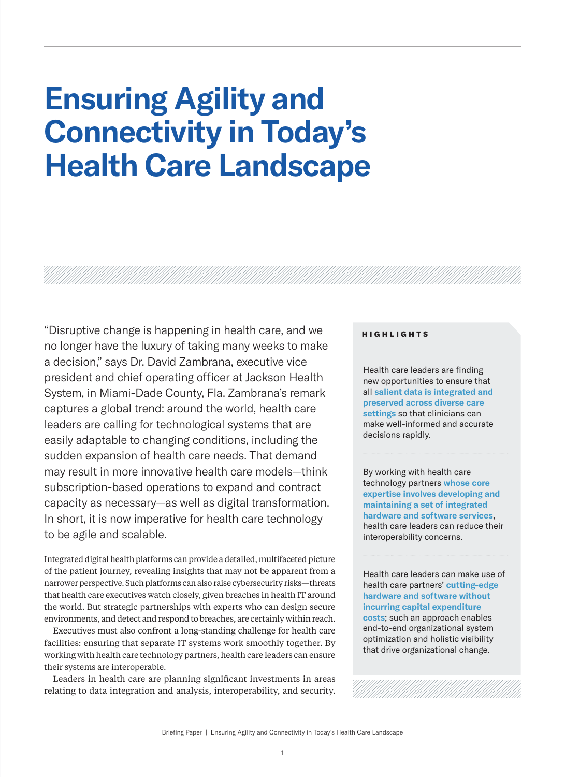# **Ensuring Agility and Connectivity in Today's Health Care Landscape**

"Disruptive change is happening in health care, and we no longer have the luxury of taking many weeks to make a decision," says Dr. David Zambrana, executive vice president and chief operating officer at Jackson Health System, in Miami-Dade County, Fla. Zambrana's remark captures a global trend: around the world, health care leaders are calling for technological systems that are easily adaptable to changing conditions, including the sudden expansion of health care needs. That demand may result in more innovative health care models—think subscription-based operations to expand and contract capacity as necessary—as well as digital transformation. In short, it is now imperative for health care technology to be agile and scalable.

Integrated digital health platforms can provide a detailed, multifaceted picture of the patient journey, revealing insights that may not be apparent from a narrower perspective. Such platforms can also raise cybersecurity risks—threats that health care executives watch closely, given breaches in health IT around the world. But strategic partnerships with experts who can design secure environments, and detect and respond to breaches, are certainly within reach.

Executives must also confront a long-standing challenge for health care facilities: ensuring that separate IT systems work smoothly together. By working with health care technology partners, health care leaders can ensure their systems are interoperable.

Leaders in health care are planning significant investments in areas relating to data integration and analysis, interoperability, and security.

#### HIGHLIGHTS

Health care leaders are finding new opportunities to ensure that all **salient data is integrated and preserved across diverse care settings** so that clinicians can make well-informed and accurate decisions rapidly.

By working with health care technology partners **whose core expertise involves developing and maintaining a set of integrated hardware and software services**, health care leaders can reduce their interoperability concerns.

Health care leaders can make use of health care partners' **cutting-edge hardware and software without incurring capital expenditure costs**; such an approach enables end-to-end organizational system optimization and holistic visibility that drive organizational change.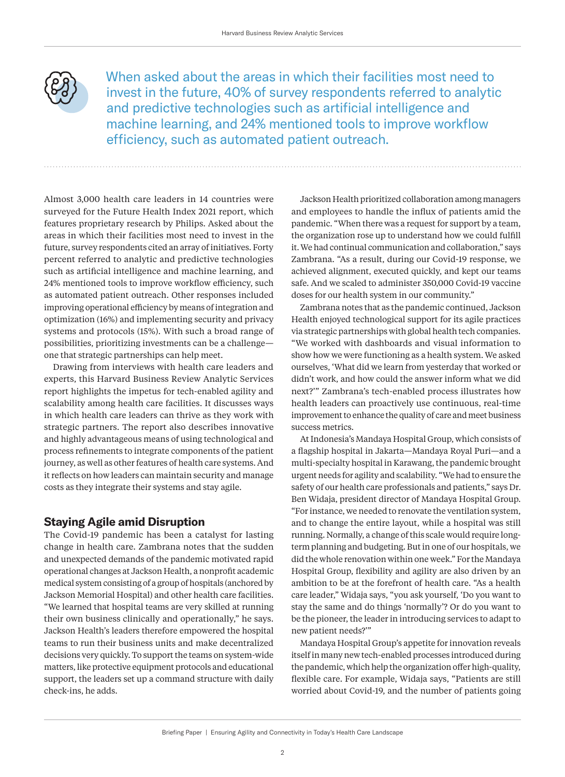

When asked about the areas in which their facilities most need to invest in the future, 40% of survey respondents referred to analytic and predictive technologies such as artificial intelligence and machine learning, and 24% mentioned tools to improve workflow efficiency, such as automated patient outreach.

Almost 3,000 health care leaders in 14 countries were surveyed for the Future Health Index 2021 report, which features proprietary research by Philips. Asked about the areas in which their facilities most need to invest in the future, survey respondents cited an array of initiatives. Forty percent referred to analytic and predictive technologies such as artificial intelligence and machine learning, and 24% mentioned tools to improve workflow efficiency, such as automated patient outreach. Other responses included improving operational efficiency by means of integration and optimization (16%) and implementing security and privacy systems and protocols (15%). With such a broad range of possibilities, prioritizing investments can be a challenge one that strategic partnerships can help meet.

Drawing from interviews with health care leaders and experts, this Harvard Business Review Analytic Services report highlights the impetus for tech-enabled agility and scalability among health care facilities. It discusses ways in which health care leaders can thrive as they work with strategic partners. The report also describes innovative and highly advantageous means of using technological and process refinements to integrate components of the patient journey, as well as other features of health care systems. And it reflects on how leaders can maintain security and manage costs as they integrate their systems and stay agile.

# **Staying Agile amid Disruption**

The Covid-19 pandemic has been a catalyst for lasting change in health care. Zambrana notes that the sudden and unexpected demands of the pandemic motivated rapid operational changes at Jackson Health, a nonprofit academic medical system consisting of a group of hospitals (anchored by Jackson Memorial Hospital) and other health care facilities. "We learned that hospital teams are very skilled at running their own business clinically and operationally," he says. Jackson Health's leaders therefore empowered the hospital teams to run their business units and make decentralized decisions very quickly. To support the teams on system-wide matters, like protective equipment protocols and educational support, the leaders set up a command structure with daily check-ins, he adds.

Jackson Health prioritized collaboration among managers and employees to handle the influx of patients amid the pandemic. "When there was a request for support by a team, the organization rose up to understand how we could fulfill it. We had continual communication and collaboration," says Zambrana. "As a result, during our Covid-19 response, we achieved alignment, executed quickly, and kept our teams safe. And we scaled to administer 350,000 Covid-19 vaccine doses for our health system in our community."

Zambrana notes that as the pandemic continued, Jackson Health enjoyed technological support for its agile practices via strategic partnerships with global health tech companies. "We worked with dashboards and visual information to show how we were functioning as a health system. We asked ourselves, 'What did we learn from yesterday that worked or didn't work, and how could the answer inform what we did next?'" Zambrana's tech-enabled process illustrates how health leaders can proactively use continuous, real-time improvement to enhance the quality of care and meet business success metrics.

At Indonesia's Mandaya Hospital Group, which consists of a flagship hospital in Jakarta—Mandaya Royal Puri—and a multi-specialty hospital in Karawang, the pandemic brought urgent needs for agility and scalability. "We had to ensure the safety of our health care professionals and patients," says Dr. Ben Widaja, president director of Mandaya Hospital Group. "For instance, we needed to renovate the ventilation system, and to change the entire layout, while a hospital was still running. Normally, a change of this scale would require longterm planning and budgeting. But in one of our hospitals, we did the whole renovation within one week." For the Mandaya Hospital Group, flexibility and agility are also driven by an ambition to be at the forefront of health care. "As a health care leader," Widaja says, "you ask yourself, 'Do you want to stay the same and do things 'normally'? Or do you want to be the pioneer, the leader in introducing services to adapt to new patient needs?'"

Mandaya Hospital Group's appetite for innovation reveals itself in many new tech-enabled processes introduced during the pandemic, which help the organization offer high-quality, flexible care. For example, Widaja says, "Patients are still worried about Covid-19, and the number of patients going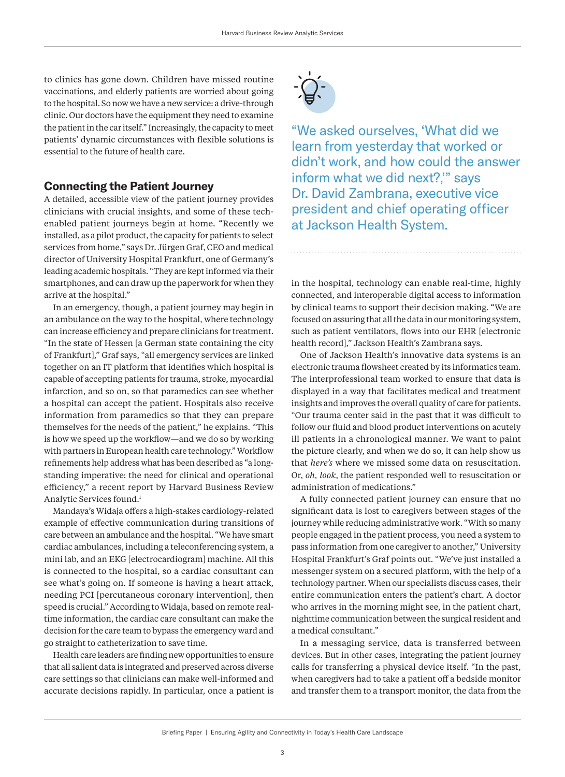<span id="page-4-0"></span>to clinics has gone down. Children have missed routine vaccinations, and elderly patients are worried about going to the hospital. So now we have a new service: a drive-through clinic. Our doctors have the equipment they need to examine the patient in the car itself." Increasingly, the capacity to meet patients' dynamic circumstances with flexible solutions is essential to the future of health care.

#### **Connecting the Patient Journey**

A detailed, accessible view of the patient journey provides clinicians with crucial insights, and some of these techenabled patient journeys begin at home. "Recently we installed, as a pilot product, the capacity for patients to select services from home," says Dr. Jürgen Graf, CEO and medical director of University Hospital Frankfurt, one of Germany's leading academic hospitals. "They are kept informed via their smartphones, and can draw up the paperwork for when they arrive at the hospital."

In an emergency, though, a patient journey may begin in an ambulance on the way to the hospital, where technology can increase efficiency and prepare clinicians for treatment. "In the state of Hessen [a German state containing the city of Frankfurt]," Graf says, "all emergency services are linked together on an IT platform that identifies which hospital is capable of accepting patients for trauma, stroke, myocardial infarction, and so on, so that paramedics can see whether a hospital can accept the patient. Hospitals also receive information from paramedics so that they can prepare themselves for the needs of the patient," he explains. "This is how we speed up the workflow—and we do so by working with partners in European health care technology." Workflow refinements help address what has been described as "a longstanding imperative: the need for clinical and operational efficiency," a recent report by Harvard Business Review Analytic Services found.[1](#page-9-0)

Mandaya's Widaja offers a high-stakes cardiology-related example of effective communication during transitions of care between an ambulance and the hospital. "We have smart cardiac ambulances, including a teleconferencing system, a mini lab, and an EKG [electrocardiogram] machine. All this is connected to the hospital, so a cardiac consultant can see what's going on. If someone is having a heart attack, needing PCI [percutaneous coronary intervention], then speed is crucial." According to Widaja, based on remote realtime information, the cardiac care consultant can make the decision for the care team to bypass the emergency ward and go straight to catheterization to save time.

Health care leaders are finding new opportunities to ensure that all salient data is integrated and preserved across diverse care settings so that clinicians can make well-informed and accurate decisions rapidly. In particular, once a patient is



"We asked ourselves, 'What did we learn from yesterday that worked or didn't work, and how could the answer inform what we did next?,'" says Dr. David Zambrana, executive vice president and chief operating officer at Jackson Health System.

in the hospital, technology can enable real-time, highly connected, and interoperable digital access to information by clinical teams to support their decision making. "We are focused on assuring that all the data in our monitoring system, such as patient ventilators, flows into our EHR [electronic health record]," Jackson Health's Zambrana says.

One of Jackson Health's innovative data systems is an electronic trauma flowsheet created by its informatics team. The interprofessional team worked to ensure that data is displayed in a way that facilitates medical and treatment insights and improves the overall quality of care for patients. "Our trauma center said in the past that it was difficult to follow our fluid and blood product interventions on acutely ill patients in a chronological manner. We want to paint the picture clearly, and when we do so, it can help show us that *here's* where we missed some data on resuscitation. Or, *oh, look*, the patient responded well to resuscitation or administration of medications."

A fully connected patient journey can ensure that no significant data is lost to caregivers between stages of the journey while reducing administrative work. "With so many people engaged in the patient process, you need a system to pass information from one caregiver to another," University Hospital Frankfurt's Graf points out. "We've just installed a messenger system on a secured platform, with the help of a technology partner. When our specialists discuss cases, their entire communication enters the patient's chart. A doctor who arrives in the morning might see, in the patient chart, nighttime communication between the surgical resident and a medical consultant."

In a messaging service, data is transferred between devices. But in other cases, integrating the patient journey calls for transferring a physical device itself. "In the past, when caregivers had to take a patient off a bedside monitor and transfer them to a transport monitor, the data from the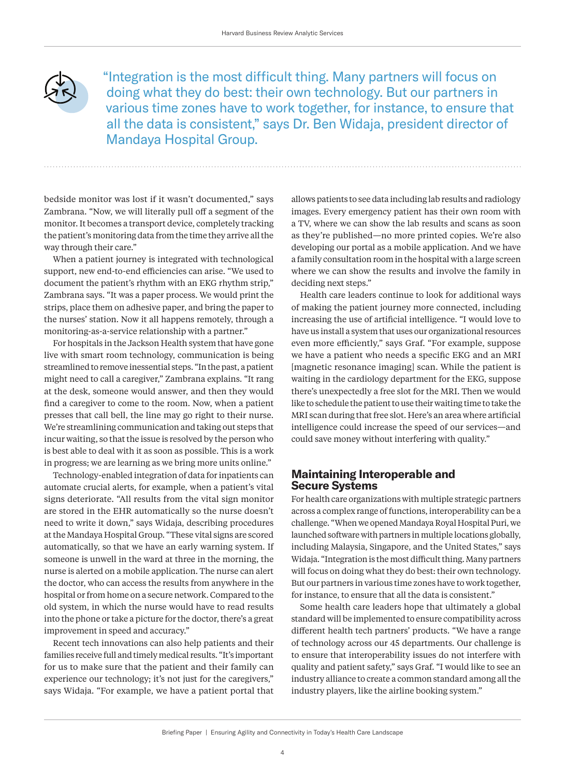

"Integration is the most difficult thing. Many partners will focus on doing what they do best: their own technology. But our partners in various time zones have to work together, for instance, to ensure that all the data is consistent," says Dr. Ben Widaja, president director of Mandaya Hospital Group.

bedside monitor was lost if it wasn't documented," says Zambrana. "Now, we will literally pull off a segment of the monitor. It becomes a transport device, completely tracking the patient's monitoring data from the time they arrive all the way through their care."

When a patient journey is integrated with technological support, new end-to-end efficiencies can arise. "We used to document the patient's rhythm with an EKG rhythm strip," Zambrana says. "It was a paper process. We would print the strips, place them on adhesive paper, and bring the paper to the nurses' station. Now it all happens remotely, through a monitoring-as-a-service relationship with a partner."

For hospitals in the Jackson Health system that have gone live with smart room technology, communication is being streamlined to remove inessential steps. "In the past, a patient might need to call a caregiver," Zambrana explains. "It rang at the desk, someone would answer, and then they would find a caregiver to come to the room. Now, when a patient presses that call bell, the line may go right to their nurse. We're streamlining communication and taking out steps that incur waiting, so that the issue is resolved by the person who is best able to deal with it as soon as possible. This is a work in progress; we are learning as we bring more units online."

Technology-enabled integration of data for inpatients can automate crucial alerts, for example, when a patient's vital signs deteriorate. "All results from the vital sign monitor are stored in the EHR automatically so the nurse doesn't need to write it down," says Widaja, describing procedures at the Mandaya Hospital Group. "These vital signs are scored automatically, so that we have an early warning system. If someone is unwell in the ward at three in the morning, the nurse is alerted on a mobile application. The nurse can alert the doctor, who can access the results from anywhere in the hospital or from home on a secure network. Compared to the old system, in which the nurse would have to read results into the phone or take a picture for the doctor, there's a great improvement in speed and accuracy."

Recent tech innovations can also help patients and their families receive full and timely medical results. "It's important for us to make sure that the patient and their family can experience our technology; it's not just for the caregivers," says Widaja. "For example, we have a patient portal that

allows patients to see data including lab results and radiology images. Every emergency patient has their own room with a TV, where we can show the lab results and scans as soon as they're published—no more printed copies. We're also developing our portal as a mobile application. And we have a family consultation room in the hospital with a large screen where we can show the results and involve the family in deciding next steps."

Health care leaders continue to look for additional ways of making the patient journey more connected, including increasing the use of artificial intelligence. "I would love to have us install a system that uses our organizational resources even more efficiently," says Graf. "For example, suppose we have a patient who needs a specific EKG and an MRI [magnetic resonance imaging] scan. While the patient is waiting in the cardiology department for the EKG, suppose there's unexpectedly a free slot for the MRI. Then we would like to schedule the patient to use their waiting time to take the MRI scan during that free slot. Here's an area where artificial intelligence could increase the speed of our services—and could save money without interfering with quality."

# **Maintaining Interoperable and Secure Systems**

For health care organizations with multiple strategic partners across a complex range of functions, interoperability can be a challenge. "When we opened Mandaya Royal Hospital Puri, we launched software with partners in multiple locations globally, including Malaysia, Singapore, and the United States," says Widaja. "Integration is the most difficult thing. Many partners will focus on doing what they do best: their own technology. But our partners in various time zones have to work together, for instance, to ensure that all the data is consistent."

Some health care leaders hope that ultimately a global standard will be implemented to ensure compatibility across different health tech partners' products. "We have a range of technology across our 45 departments. Our challenge is to ensure that interoperability issues do not interfere with quality and patient safety," says Graf. "I would like to see an industry alliance to create a common standard among all the industry players, like the airline booking system."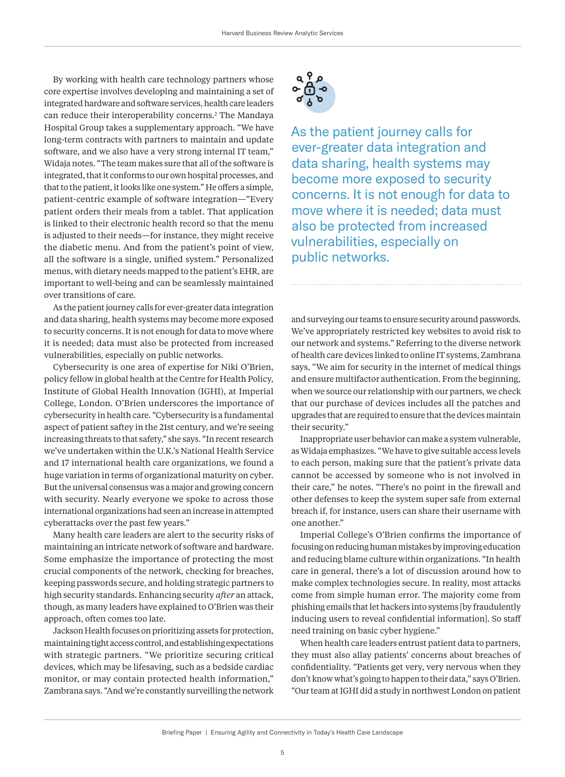<span id="page-6-0"></span>By working with health care technology partners whose core expertise involves developing and maintaining a set of integrated hardware and software services, health care leaders can reduce their interoperability concerns.[2](#page-9-0) The Mandaya Hospital Group takes a supplementary approach. "We have long-term contracts with partners to maintain and update software, and we also have a very strong internal IT team," Widaja notes. "The team makes sure that all of the software is integrated, that it conforms to our own hospital processes, and that to the patient, it looks like one system." He offers a simple, patient-centric example of software integration—"Every patient orders their meals from a tablet. That application is linked to their electronic health record so that the menu is adjusted to their needs—for instance, they might receive the diabetic menu. And from the patient's point of view, all the software is a single, unified system." Personalized menus, with dietary needs mapped to the patient's EHR, are important to well-being and can be seamlessly maintained over transitions of care.

As the patient journey calls for ever-greater data integration and data sharing, health systems may become more exposed to security concerns. It is not enough for data to move where it is needed; data must also be protected from increased vulnerabilities, especially on public networks.

Cybersecurity is one area of expertise for Niki O'Brien, policy fellow in global health at the Centre for Health Policy, Institute of Global Health Innovation (IGHI), at Imperial College, London. O'Brien underscores the importance of cybersecurity in health care. "Cybersecurity is a fundamental aspect of patient saftey in the 21st century, and we're seeing increasing threats to that safety," she says. "In recent research we've undertaken within the U.K.'s National Health Service and 17 international health care organizations, we found a huge variation in terms of organizational maturity on cyber. But the universal consensus was a major and growing concern with security. Nearly everyone we spoke to across those international organizations had seen an increase in attempted cyberattacks over the past few years."

Many health care leaders are alert to the security risks of maintaining an intricate network of software and hardware. Some emphasize the importance of protecting the most crucial components of the network, checking for breaches, keeping passwords secure, and holding strategic partners to high security standards. Enhancing security *after* an attack, though, as many leaders have explained to O'Brien was their approach, often comes too late.

Jackson Health focuses on prioritizing assets for protection, maintaining tight access control, and establishing expectations with strategic partners. "We prioritize securing critical devices, which may be lifesaving, such as a bedside cardiac monitor, or may contain protected health information," Zambrana says. "And we're constantly surveilling the network



As the patient journey calls for ever-greater data integration and data sharing, health systems may become more exposed to security concerns. It is not enough for data to move where it is needed; data must also be protected from increased vulnerabilities, especially on public networks.

and surveying our teams to ensure security around passwords. We've appropriately restricted key websites to avoid risk to our network and systems." Referring to the diverse network of health care devices linked to online IT systems, Zambrana says, "We aim for security in the internet of medical things and ensure multifactor authentication. From the beginning, when we source our relationship with our partners, we check that our purchase of devices includes all the patches and upgrades that are required to ensure that the devices maintain their security."

Inappropriate user behavior can make a system vulnerable, as Widaja emphasizes. "We have to give suitable access levels to each person, making sure that the patient's private data cannot be accessed by someone who is not involved in their care," he notes. "There's no point in the firewall and other defenses to keep the system super safe from external breach if, for instance, users can share their username with one another."

Imperial College's O'Brien confirms the importance of focusing on reducing human mistakes by improving education and reducing blame culture within organizations. "In health care in general, there's a lot of discussion around how to make complex technologies secure. In reality, most attacks come from simple human error. The majority come from phishing emails that let hackers into systems [by fraudulently inducing users to reveal confidential information]. So staff need training on basic cyber hygiene."

When health care leaders entrust patient data to partners, they must also allay patients' concerns about breaches of confidentiality. "Patients get very, very nervous when they don't know what's going to happen to their data," says O'Brien. "Our team at IGHI did a study in northwest London on patient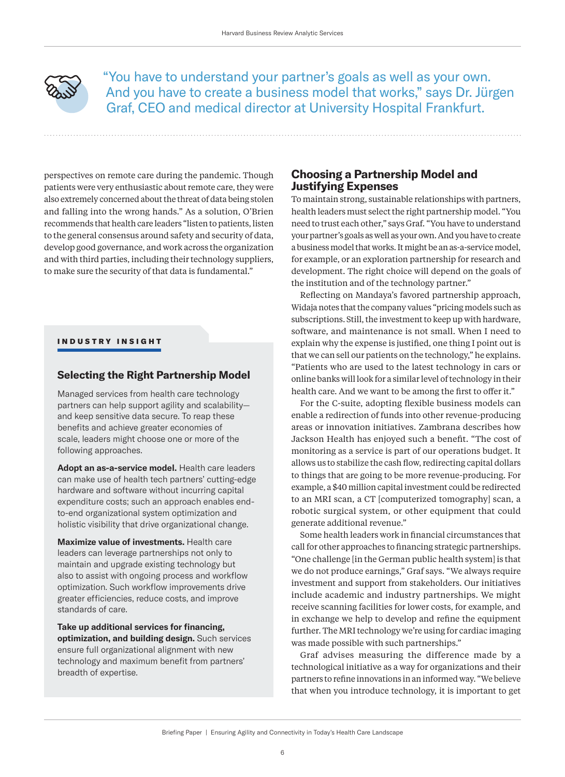

"You have to understand your partner's goals as well as your own. And you have to create a business model that works," says Dr. Jürgen Graf, CEO and medical director at University Hospital Frankfurt.

perspectives on remote care during the pandemic. Though patients were very enthusiastic about remote care, they were also extremely concerned about the threat of data being stolen and falling into the wrong hands." As a solution, O'Brien recommends that health care leaders "listen to patients, listen to the general consensus around safety and security of data, develop good governance, and work across the organization and with third parties, including their technology suppliers, to make sure the security of that data is fundamental."

#### INDUSTRY INSIGHT

#### **Selecting the Right Partnership Model**

Managed services from health care technology partners can help support agility and scalability and keep sensitive data secure. To reap these benefits and achieve greater economies of scale, leaders might choose one or more of the following approaches.

**Adopt an as-a-service model.** Health care leaders can make use of health tech partners' cutting-edge hardware and software without incurring capital expenditure costs; such an approach enables endto-end organizational system optimization and holistic visibility that drive organizational change.

**Maximize value of investments.** Health care leaders can leverage partnerships not only to maintain and upgrade existing technology but also to assist with ongoing process and workflow optimization. Such workflow improvements drive greater efficiencies, reduce costs, and improve standards of care.

**Take up additional services for financing, optimization, and building design.** Such services ensure full organizational alignment with new technology and maximum benefit from partners' breadth of expertise.

### **Choosing a Partnership Model and Justifying Expenses**

To maintain strong, sustainable relationships with partners, health leaders must select the right partnership model. "You need to trust each other," says Graf. "You have to understand your partner's goals as well as your own. And you have to create a business model that works. It might be an as-a-service model, for example, or an exploration partnership for research and development. The right choice will depend on the goals of the institution and of the technology partner."

Reflecting on Mandaya's favored partnership approach, Widaja notes that the company values "pricing models such as subscriptions. Still, the investment to keep up with hardware, software, and maintenance is not small. When I need to explain why the expense is justified, one thing I point out is that we can sell our patients on the technology," he explains. "Patients who are used to the latest technology in cars or online banks will look for a similar level of technology in their health care. And we want to be among the first to offer it."

For the C-suite, adopting flexible business models can enable a redirection of funds into other revenue-producing areas or innovation initiatives. Zambrana describes how Jackson Health has enjoyed such a benefit. "The cost of monitoring as a service is part of our operations budget. It allows us to stabilize the cash flow, redirecting capital dollars to things that are going to be more revenue-producing. For example, a \$40 million capital investment could be redirected to an MRI scan, a CT [computerized tomography] scan, a robotic surgical system, or other equipment that could generate additional revenue."

Some health leaders work in financial circumstances that call for other approaches to financing strategic partnerships. "One challenge [in the German public health system] is that we do not produce earnings," Graf says. "We always require investment and support from stakeholders. Our initiatives include academic and industry partnerships. We might receive scanning facilities for lower costs, for example, and in exchange we help to develop and refine the equipment further. The MRI technology we're using for cardiac imaging was made possible with such partnerships."

Graf advises measuring the difference made by a technological initiative as a way for organizations and their partners to refine innovations in an informed way. "We believe that when you introduce technology, it is important to get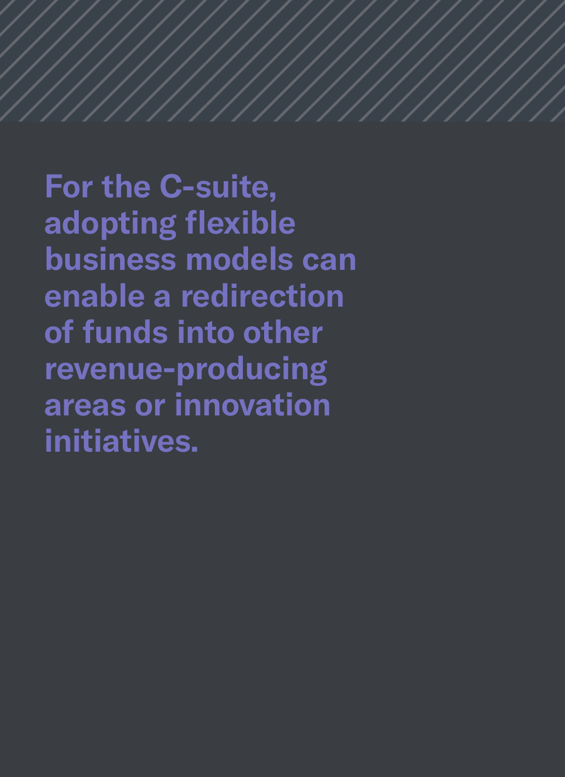**For the C-suite, adopting flexible business models can enable a redirection of funds into other revenue-producing areas or innovation initiatives.**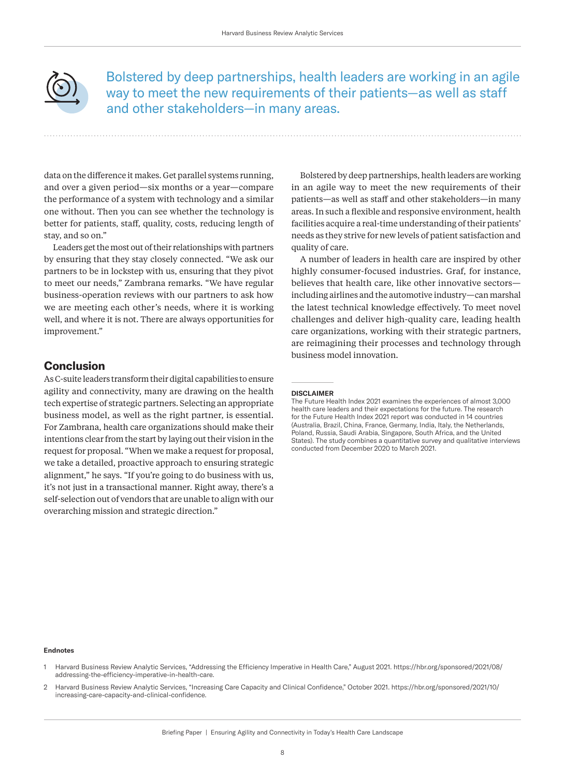<span id="page-9-0"></span>

Bolstered by deep partnerships, health leaders are working in an agile way to meet the new requirements of their patients—as well as staff and other stakeholders—in many areas.

data on the difference it makes. Get parallel systems running, and over a given period—six months or a year—compare the performance of a system with technology and a similar one without. Then you can see whether the technology is better for patients, staff, quality, costs, reducing length of stay, and so on."

Leaders get the most out of their relationships with partners by ensuring that they stay closely connected. "We ask our partners to be in lockstep with us, ensuring that they pivot to meet our needs," Zambrana remarks. "We have regular business-operation reviews with our partners to ask how we are meeting each other's needs, where it is working well, and where it is not. There are always opportunities for improvement."

# **Conclusion**

As C-suite leaders transform their digital capabilities to ensure agility and connectivity, many are drawing on the health tech expertise of strategic partners. Selecting an appropriate business model, as well as the right partner, is essential. For Zambrana, health care organizations should make their intentions clear from the start by laying out their vision in the request for proposal. "When we make a request for proposal, we take a detailed, proactive approach to ensuring strategic alignment," he says. "If you're going to do business with us, it's not just in a transactional manner. Right away, there's a self-selection out of vendors that are unable to align with our overarching mission and strategic direction."

Bolstered by deep partnerships, health leaders are working in an agile way to meet the new requirements of their patients—as well as staff and other stakeholders—in many areas. In such a flexible and responsive environment, health facilities acquire a real-time understanding of their patients' needs as they strive for new levels of patient satisfaction and quality of care.

A number of leaders in health care are inspired by other highly consumer-focused industries. Graf, for instance, believes that health care, like other innovative sectors including airlines and the automotive industry—can marshal the latest technical knowledge effectively. To meet novel challenges and deliver high-quality care, leading health care organizations, working with their strategic partners, are reimagining their processes and technology through business model innovation.

#### **DISCLAIMER**

The Future Health Index 2021 examines the experiences of almost 3,000 health care leaders and their expectations for the future. The research for the Future Health Index 2021 report was conducted in 14 countries (Australia, Brazil, China, France, Germany, India, Italy, the Netherlands, Poland, Russia, Saudi Arabia, Singapore, South Africa, and the United States). The study combines a quantitative survey and qualitative interviews conducted from December 2020 to March 2021.

#### **Endnotes**

- [1](#page-4-0) Harvard Business Review Analytic Services, "Addressing the Efficiency Imperative in Health Care," August 2021. https://hbr.org/sponsored/2021/08/ addressing-the-efficiency-imperative-in-health-care.
- [2](#page-6-0) Harvard Business Review Analytic Services, "Increasing Care Capacity and Clinical Confidence," October 2021. https://hbr.org/sponsored/2021/10/ increasing-care-capacity-and-clinical-confidence.